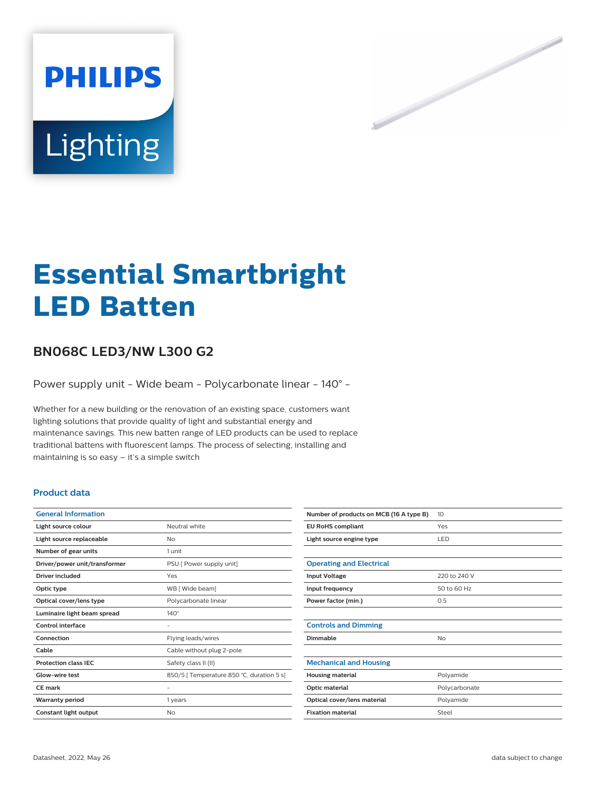

# **Essential Smartbright LED Batten**

# **BN068C LED3/NW L300 G2**

Power supply unit - Wide beam - Polycarbonate linear - 140° -

Whether for a new building or the renovation of an existing space, customers want lighting solutions that provide quality of light and substantial energy and maintenance savings. This new batten range of LED products can be used to replace traditional battens with fluorescent lamps. The process of selecting, installing and maintaining is so easy – it's a simple switch

### **Product data**

| <b>General Information</b>    |                                           |
|-------------------------------|-------------------------------------------|
| Light source colour           | Neutral white                             |
| Light source replaceable      | No                                        |
| Number of gear units          | 1 unit                                    |
| Driver/power unit/transformer | PSU [ Power supply unit]                  |
| Driver included               | Yes                                       |
| Optic type                    | WB [ Wide beam]                           |
| Optical cover/lens type       | Polycarbonate linear                      |
| Luminaire light beam spread   | $140^\circ$                               |
| Control interface             |                                           |
| Connection                    | Flying leads/wires                        |
| Cable                         | Cable without plug 2-pole                 |
| <b>Protection class IEC</b>   | Safety class II (II)                      |
| Glow-wire test                | 850/5   Temperature 850 °C, duration 5 s] |
| <b>CE</b> mark                |                                           |
| <b>Warranty period</b>        | 1 years                                   |
| Constant light output         | No                                        |

| Number of products on MCB (16 A type B) | 10            |
|-----------------------------------------|---------------|
| <b>EU RoHS compliant</b>                | Yes           |
| Light source engine type                | LED           |
|                                         |               |
| <b>Operating and Electrical</b>         |               |
| <b>Input Voltage</b>                    | 220 to 240 V  |
| Input frequency                         | 50 to 60 Hz   |
| Power factor (min.)                     | 0.5           |
|                                         |               |
| <b>Controls and Dimming</b>             |               |
| Dimmable                                | No            |
|                                         |               |
| <b>Mechanical and Housing</b>           |               |
| <b>Housing material</b>                 | Polyamide     |
| Optic material                          | Polycarbonate |
| Optical cover/lens material             | Polyamide     |
| <b>Fixation material</b>                | Steel         |
|                                         |               |